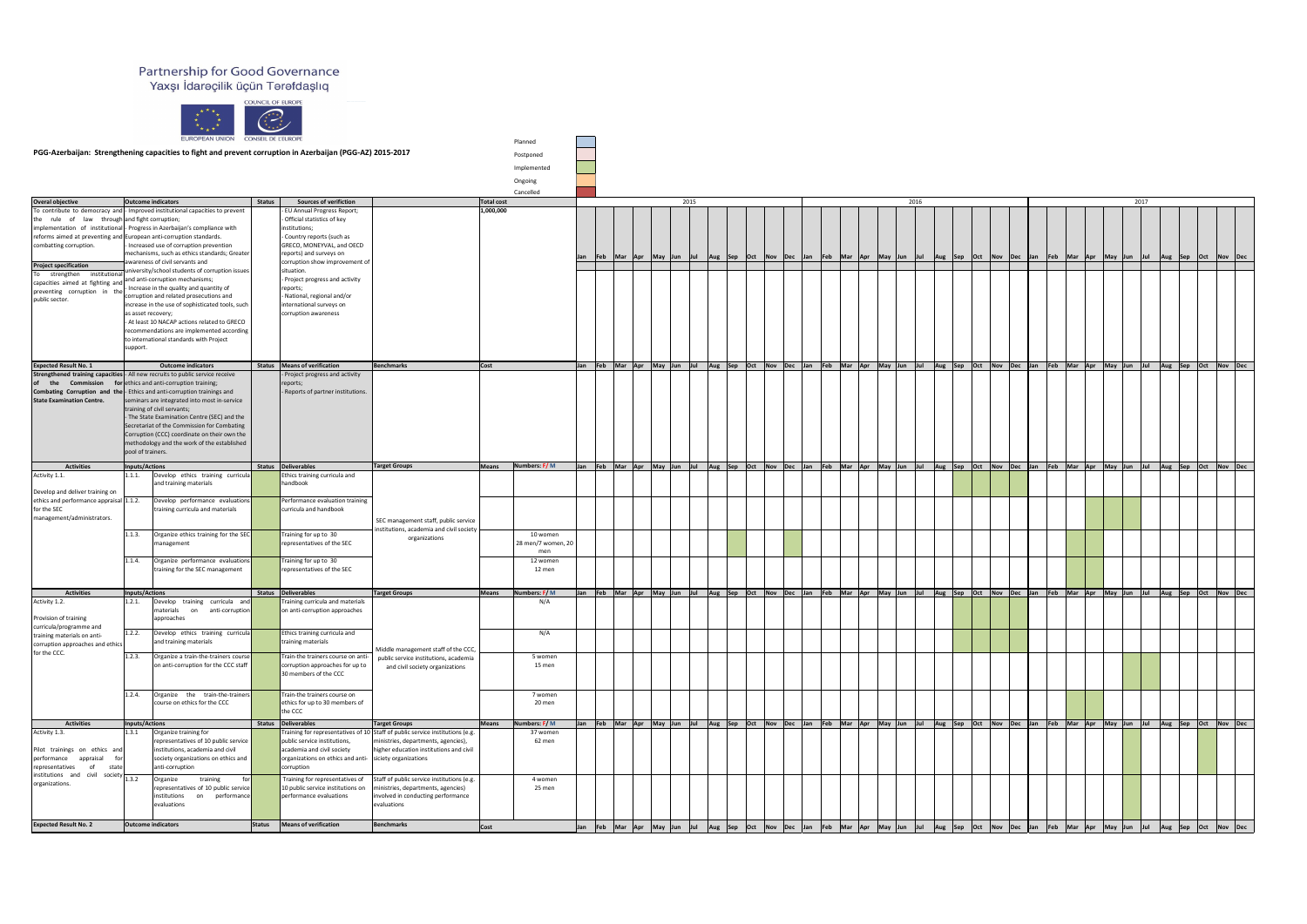## Partnership for Good Governance<br>Yaxşı İdarəçilik üçün Tərəfdaşlıq



|                                                                                                                |                           | $x^*$<br>EUROPEAN UNION CONSEIL DE L'EUROPE                                                                     | $\frac{1}{1+1}$ |                                                                                       |                                                                                                       |              |                            |     |                         |  |            |          |                 |     |                                                                                                                                                   |            |             |             |                 |  |                                                                                         |      |  |  |  |
|----------------------------------------------------------------------------------------------------------------|---------------------------|-----------------------------------------------------------------------------------------------------------------|-----------------|---------------------------------------------------------------------------------------|-------------------------------------------------------------------------------------------------------|--------------|----------------------------|-----|-------------------------|--|------------|----------|-----------------|-----|---------------------------------------------------------------------------------------------------------------------------------------------------|------------|-------------|-------------|-----------------|--|-----------------------------------------------------------------------------------------|------|--|--|--|
|                                                                                                                |                           | PGG-Azerbaijan: Strengthening capacities to fight and prevent corruption in Azerbaijan (PGG-AZ) 2015-2017       |                 |                                                                                       |                                                                                                       |              | Planned                    |     |                         |  |            |          |                 |     |                                                                                                                                                   |            |             |             |                 |  |                                                                                         |      |  |  |  |
|                                                                                                                |                           |                                                                                                                 |                 |                                                                                       |                                                                                                       |              | Postponed                  |     |                         |  |            |          |                 |     |                                                                                                                                                   |            |             |             |                 |  |                                                                                         |      |  |  |  |
|                                                                                                                |                           |                                                                                                                 |                 |                                                                                       |                                                                                                       |              | Implemented                |     |                         |  |            |          |                 |     |                                                                                                                                                   |            |             |             |                 |  |                                                                                         |      |  |  |  |
|                                                                                                                |                           |                                                                                                                 |                 |                                                                                       |                                                                                                       |              | Ongoing<br>Cancelled       |     |                         |  |            |          |                 |     |                                                                                                                                                   |            |             |             |                 |  |                                                                                         |      |  |  |  |
| <b>Overal objective</b>                                                                                        | <b>Outcome indicators</b> |                                                                                                                 | <b>Status</b>   | <b>Sources of verifiction</b>                                                         |                                                                                                       | Total cost   |                            |     |                         |  | 2015       |          |                 |     |                                                                                                                                                   |            | 2016        |             |                 |  |                                                                                         | 2017 |  |  |  |
| the rule of<br>law                                                                                             |                           | To contribute to democracy and  - Improved institutional capacities to prevent<br>through and fight corruption; |                 | - EU Annual Progress Report;<br>- Official statistics of key                          |                                                                                                       | 1,000,000    |                            |     |                         |  |            |          |                 |     |                                                                                                                                                   |            |             |             |                 |  |                                                                                         |      |  |  |  |
| implementation of institutional-Progress in Azerbaijan's compliance with                                       |                           |                                                                                                                 |                 | institutions;                                                                         |                                                                                                       |              |                            |     |                         |  |            |          |                 |     |                                                                                                                                                   |            |             |             |                 |  |                                                                                         |      |  |  |  |
| reforms aimed at preventing and European anti-corruption standards.<br>combatting corruption.                  |                           | - Increased use of corruption prevention                                                                        |                 | - Country reports (such as<br>GRECO, MONEYVAL, and OECD                               |                                                                                                       |              |                            |     |                         |  |            |          |                 |     |                                                                                                                                                   |            |             |             |                 |  |                                                                                         |      |  |  |  |
|                                                                                                                |                           | mechanisms, such as ethics standards; Greater                                                                   |                 | reports) and surveys on                                                               |                                                                                                       |              |                            | Jan | Feb  Mar  Apr  May  Jun |  | Jul        | Aug  Sep | Oct Nov Dec Jan |     | $\vert$ Feb                                                                                                                                       |            |             |             |                 |  | Mar Apr May Jun Jul Aug Sep Oct Nov Dec Jan Feb Mar Apr May Jun Jul Aug Sep Oct Nov Dec |      |  |  |  |
| <b>Project specification</b>                                                                                   |                           | awareness of civil servants and<br>university/school students of corruption issues                              |                 | corruption show improvement of<br>situation.                                          |                                                                                                       |              |                            |     |                         |  |            |          |                 |     |                                                                                                                                                   |            |             |             |                 |  |                                                                                         |      |  |  |  |
| To strengthen institutiona<br>capacities aimed at fighting and <sup>d</sup>                                    |                           | and anti-corruption mechanisms;                                                                                 |                 | - Project progress and activity                                                       |                                                                                                       |              |                            |     |                         |  |            |          |                 |     |                                                                                                                                                   |            |             |             |                 |  |                                                                                         |      |  |  |  |
| preventing corruption in the                                                                                   |                           | - Increase in the quality and quantity of<br>corruption and related prosecutions and                            |                 | reports;<br>- National, regional and/or                                               |                                                                                                       |              |                            |     |                         |  |            |          |                 |     |                                                                                                                                                   |            |             |             |                 |  |                                                                                         |      |  |  |  |
| public sector.                                                                                                 |                           | increase in the use of sophisticated tools, such                                                                |                 | international surveys on                                                              |                                                                                                       |              |                            |     |                         |  |            |          |                 |     |                                                                                                                                                   |            |             |             |                 |  |                                                                                         |      |  |  |  |
|                                                                                                                | as asset recovery;        | - At least 10 NACAP actions related to GRECO                                                                    |                 | corruption awareness                                                                  |                                                                                                       |              |                            |     |                         |  |            |          |                 |     |                                                                                                                                                   |            |             |             |                 |  |                                                                                         |      |  |  |  |
|                                                                                                                |                           | recommendations are implemented according                                                                       |                 |                                                                                       |                                                                                                       |              |                            |     |                         |  |            |          |                 |     |                                                                                                                                                   |            |             |             |                 |  |                                                                                         |      |  |  |  |
|                                                                                                                | support.                  | to international standards with Project                                                                         |                 |                                                                                       |                                                                                                       |              |                            |     |                         |  |            |          |                 |     |                                                                                                                                                   |            |             |             |                 |  |                                                                                         |      |  |  |  |
|                                                                                                                |                           |                                                                                                                 |                 |                                                                                       |                                                                                                       |              |                            |     |                         |  |            |          |                 |     |                                                                                                                                                   |            |             |             |                 |  |                                                                                         |      |  |  |  |
| <b>Expected Result No. 1</b><br>Strengthened training capacities  - All new recruits to public service receive |                           | <b>Outcome indicators</b>                                                                                       |                 | Status   Means of verification<br>- Project progress and activity                     | Benchmarks                                                                                            | $\vert$ Cost |                            |     |                         |  |            |          |                 |     | Jan Feb Mar Apr May Jun Jul Aug Sep Oct Nov Dec Jan Feb Mar Apr May Jun Jul Aug Sep Oct Nov Dec Jan Feb Mar Apr May Jun Jul Aug Sep Oct Nov Dec I |            |             |             |                 |  |                                                                                         |      |  |  |  |
| the                                                                                                            |                           | <b>Commission</b> for ethics and anti-corruption training;                                                      |                 | reports;                                                                              |                                                                                                       |              |                            |     |                         |  |            |          |                 |     |                                                                                                                                                   |            |             |             |                 |  |                                                                                         |      |  |  |  |
| Combating Corruption and the - Ethics and anti-corruption trainings and<br><b>State Examination Centre.</b>    |                           | seminars are integrated into most in-service                                                                    |                 | - Reports of partner institutions.                                                    |                                                                                                       |              |                            |     |                         |  |            |          |                 |     |                                                                                                                                                   |            |             |             |                 |  |                                                                                         |      |  |  |  |
|                                                                                                                |                           | training of civil servants;                                                                                     |                 |                                                                                       |                                                                                                       |              |                            |     |                         |  |            |          |                 |     |                                                                                                                                                   |            |             |             |                 |  |                                                                                         |      |  |  |  |
|                                                                                                                |                           | - The State Examination Centre (SEC) and the<br>Secretariat of the Commission for Combating                     |                 |                                                                                       |                                                                                                       |              |                            |     |                         |  |            |          |                 |     |                                                                                                                                                   |            |             |             |                 |  |                                                                                         |      |  |  |  |
|                                                                                                                |                           | Corruption (CCC) coordinate on their own the                                                                    |                 |                                                                                       |                                                                                                       |              |                            |     |                         |  |            |          |                 |     |                                                                                                                                                   |            |             |             |                 |  |                                                                                         |      |  |  |  |
|                                                                                                                | pool of trainers.         | methodology and the work of the established                                                                     |                 |                                                                                       |                                                                                                       |              |                            |     |                         |  |            |          |                 |     |                                                                                                                                                   |            |             |             |                 |  |                                                                                         |      |  |  |  |
| <b>Activities</b>                                                                                              | Inputs/Actions            |                                                                                                                 |                 | Status Deliverables                                                                   | <b>Target Groups</b>                                                                                  | Means        | Numbers: $F/M$             |     |                         |  |            |          |                 |     | Jan Feb Mar Apr May Jun Jul Aug Sep Oct Nov Dec Jan Feb Mar Apr May Jun Jul Aug Sep Oct Nov Dec Jan Feb Mar Apr May Jun Jul Aug Sep Oct Nov Dec I |            |             |             |                 |  |                                                                                         |      |  |  |  |
| Activity 1.1.                                                                                                  | 1.1.1.                    | Develop ethics training curricula<br>and training materials                                                     |                 | Ethics training curricula and<br>handbook                                             |                                                                                                       |              |                            |     |                         |  |            |          |                 |     |                                                                                                                                                   |            |             |             |                 |  |                                                                                         |      |  |  |  |
| Develop and deliver training on                                                                                |                           |                                                                                                                 |                 |                                                                                       |                                                                                                       |              |                            |     |                         |  |            |          |                 |     |                                                                                                                                                   |            |             |             |                 |  |                                                                                         |      |  |  |  |
| ethics and performance appraisal 1.1.2.<br>for the SEC                                                         |                           | Develop performance evaluations<br>training curricula and materials                                             |                 | Performance evaluation training<br>curricula and handbook                             |                                                                                                       |              |                            |     |                         |  |            |          |                 |     |                                                                                                                                                   |            |             |             |                 |  |                                                                                         |      |  |  |  |
| management/administrators.                                                                                     |                           |                                                                                                                 |                 |                                                                                       | SEC management staff, public service                                                                  |              |                            |     |                         |  |            |          |                 |     |                                                                                                                                                   |            |             |             |                 |  |                                                                                         |      |  |  |  |
|                                                                                                                | 1.1.3.                    | Organize ethics training for the SEC                                                                            |                 | Training for up to 30                                                                 | institutions, academia and civil society                                                              |              | 10 women                   |     |                         |  |            |          |                 |     |                                                                                                                                                   |            |             |             |                 |  |                                                                                         |      |  |  |  |
|                                                                                                                |                           | management                                                                                                      |                 | representatives of the SEC                                                            | organizations                                                                                         |              | 28 men/7 women, 2          |     |                         |  |            |          |                 |     |                                                                                                                                                   |            |             |             |                 |  |                                                                                         |      |  |  |  |
|                                                                                                                | 1.1.4.                    | Organize performance evaluations                                                                                |                 | Training for up to 30                                                                 |                                                                                                       |              | men<br>12 women            |     |                         |  |            |          |                 |     |                                                                                                                                                   |            |             |             |                 |  |                                                                                         |      |  |  |  |
|                                                                                                                |                           | training for the SEC management                                                                                 |                 | representatives of the SEC                                                            |                                                                                                       |              | 12 men                     |     |                         |  |            |          |                 |     |                                                                                                                                                   |            |             |             |                 |  |                                                                                         |      |  |  |  |
|                                                                                                                |                           |                                                                                                                 |                 |                                                                                       |                                                                                                       |              |                            |     |                         |  |            |          |                 |     |                                                                                                                                                   |            |             |             |                 |  |                                                                                         |      |  |  |  |
| <b>Activities</b><br>Activity 1.2.                                                                             | Inputs/Actions<br>1.2.1.  | Develop training curricula and                                                                                  |                 | Status Deliverables<br>Training curricula and materials                               | <b>Target Groups</b>                                                                                  | <b>Means</b> | Numbers: F/M<br>N/A        |     |                         |  |            |          |                 |     | Jan Feb Mar Apr May Jun Jul Aug Sep Oct Nov Dec Jan Feb Mar Apr May Jun Jul Aug Sep Oct Nov Dec Jan Feb Mar Apr May Jun Jul Aug Sep Oct Nov Dec I |            |             |             |                 |  |                                                                                         |      |  |  |  |
|                                                                                                                |                           | materials<br>on anti-corruption                                                                                 |                 | on anti-corruption approaches                                                         |                                                                                                       |              |                            |     |                         |  |            |          |                 |     |                                                                                                                                                   |            |             |             |                 |  |                                                                                         |      |  |  |  |
| Provision of training<br>curricula/programme and                                                               |                           | approaches                                                                                                      |                 |                                                                                       |                                                                                                       |              |                            |     |                         |  |            |          |                 |     |                                                                                                                                                   |            |             |             |                 |  |                                                                                         |      |  |  |  |
| training materials on anti-                                                                                    | 1.2.2.                    | Develop ethics training curricula<br>and training materials                                                     |                 | Ethics training curricula and<br>training materials                                   |                                                                                                       |              | N/A                        |     |                         |  |            |          |                 |     |                                                                                                                                                   |            |             |             |                 |  |                                                                                         |      |  |  |  |
| corruption approaches and ethics<br>for the CCC.                                                               |                           |                                                                                                                 |                 |                                                                                       | Middle management staff of the CCC,                                                                   |              |                            |     |                         |  |            |          |                 |     |                                                                                                                                                   |            |             |             |                 |  |                                                                                         |      |  |  |  |
|                                                                                                                | 1.2.3.                    | Organize a train-the-trainers course<br>on anti-corruption for the CCC staff                                    |                 | Train-the trainers course on anti-<br>corruption approaches for up to                 | public service institutions, academia<br>and civil society organizations                              |              | 5 women<br>15 men          |     |                         |  |            |          |                 |     |                                                                                                                                                   |            |             |             |                 |  |                                                                                         |      |  |  |  |
|                                                                                                                |                           |                                                                                                                 |                 | 30 members of the CCC                                                                 |                                                                                                       |              |                            |     |                         |  |            |          |                 |     |                                                                                                                                                   |            |             |             |                 |  |                                                                                         |      |  |  |  |
|                                                                                                                | 1.2.4.                    | Organize the train-the-trainers                                                                                 |                 | Train-the trainers course on                                                          |                                                                                                       |              | 7 women                    |     |                         |  |            |          |                 |     |                                                                                                                                                   |            |             |             |                 |  |                                                                                         |      |  |  |  |
|                                                                                                                |                           | course on ethics for the CCC                                                                                    |                 | ethics for up to 30 members of                                                        |                                                                                                       |              | 20 men                     |     |                         |  |            |          |                 |     |                                                                                                                                                   |            |             |             |                 |  |                                                                                         |      |  |  |  |
|                                                                                                                |                           |                                                                                                                 |                 | the CCC                                                                               |                                                                                                       |              |                            |     |                         |  |            |          |                 |     |                                                                                                                                                   |            |             |             |                 |  |                                                                                         |      |  |  |  |
| <b>Activities</b><br>Activity 1.3.                                                                             | Inputs/Actions<br>1.3.1   | Organize training for                                                                                           |                 | Status Deliverables                                                                   | <b>Target Groups</b><br>Training for representatives of 10 Staff of public service institutions (e.g. | Means        | Numbers: $F/M$<br>37 women |     |                         |  |            |          |                 |     | Jan Feb Mar Apr May Jun Jul Aug Sep Oct Nov Dec Jan Feb Mar Apr May Jun Jul Aug Sep Oct Nov Dec Jan Feb Mar Apr May Jun Jul Aug Sep Oct Nov Dec I |            |             |             |                 |  |                                                                                         |      |  |  |  |
|                                                                                                                |                           | representatives of 10 public service                                                                            |                 | public service institutions,                                                          | ministries, departments, agencies),                                                                   |              | 62 men                     |     |                         |  |            |          |                 |     |                                                                                                                                                   |            |             |             |                 |  |                                                                                         |      |  |  |  |
| Pilot trainings on ethics and<br>performance appraisal for                                                     |                           | institutions, academia and civil<br>society organizations on ethics and                                         |                 | academia and civil society<br>organizations on ethics and anti- siciety organizations | higher education institutions and civil                                                               |              |                            |     |                         |  |            |          |                 |     |                                                                                                                                                   |            |             |             |                 |  |                                                                                         |      |  |  |  |
| representatives<br>state<br>of                                                                                 |                           | anti-corruption                                                                                                 |                 | corruption                                                                            |                                                                                                       |              |                            |     |                         |  |            |          |                 |     |                                                                                                                                                   |            |             |             |                 |  |                                                                                         |      |  |  |  |
| $\int$ institutions and civil society $\boxed{1.3.2}$<br>organizations.                                        |                           | training<br>Organize<br>forl                                                                                    |                 | Training for representatives of                                                       | Staff of public service institutions (e.g.                                                            |              | 4 women                    |     |                         |  |            |          |                 |     |                                                                                                                                                   |            |             |             |                 |  |                                                                                         |      |  |  |  |
|                                                                                                                |                           | representatives of 10 public service<br>performance<br>on<br>institutions                                       |                 | 10 public service institutions on<br>performance evaluations                          | ministries, departments, agencies)<br>involved in conducting performance                              |              | 25 men                     |     |                         |  |            |          |                 |     |                                                                                                                                                   |            |             |             |                 |  |                                                                                         |      |  |  |  |
|                                                                                                                |                           | evaluations                                                                                                     |                 |                                                                                       | evaluations                                                                                           |              |                            |     |                         |  |            |          |                 |     |                                                                                                                                                   |            |             |             |                 |  |                                                                                         |      |  |  |  |
| <b>Expected Result No. 2</b>                                                                                   |                           | <b>Outcome indicators</b>                                                                                       | Status          | Means of verification                                                                 | Benchmarks                                                                                            | <b>Cost</b>  |                            |     | Jan Feb Mar Apr May Jun |  | <u>lut</u> | Aug Sep  | Oct Nov Dec     | Jan | Mar<br>$\vert$ Feb                                                                                                                                | <b>Apr</b> | May Jun Jul | Aug Sep Oct | Nov Dec Jan Feb |  | Mar Apr May Jun Jul Aug Sep Oct Nov Dec                                                 |      |  |  |  |
|                                                                                                                |                           |                                                                                                                 |                 |                                                                                       |                                                                                                       |              |                            |     |                         |  |            |          |                 |     |                                                                                                                                                   |            |             |             |                 |  |                                                                                         |      |  |  |  |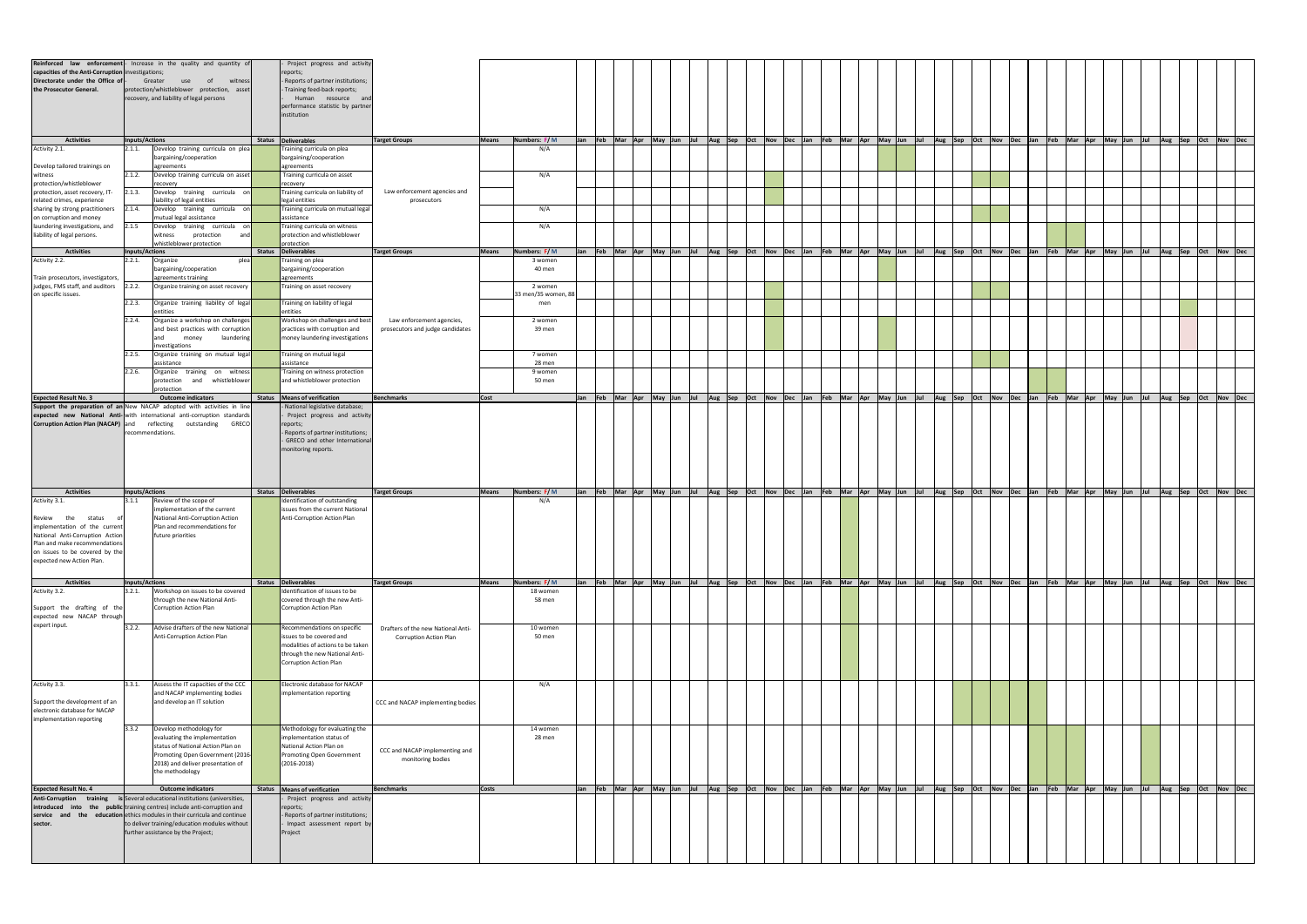| institution<br>Jan Feb Mar Apr May Jun Jul Aug Sep Oct Nov Dec Jan Feb Mar Apr May Jun Jul Aug Sep Oct Nov Dec Jan Feb Mar Apr May Jun Jul Aug Sep Oct Nov Dec<br><b>Activities</b><br>Status Deliverables<br>Numbers: F/M<br>Inputs/Actions<br><b>Target Groups</b><br>Means<br>Develop training curricula on plea<br>Training curricula on plea<br>Activity 2.1.<br>N/A<br>2.1.1.<br>bargaining/cooperation<br>bargaining/cooperation<br>Develop tailored trainings on<br>agreements<br>agreements<br>Develop training curricula on asset<br>Training curricula on asset<br>2.1.2.<br>N/A<br>witness<br>recovery<br>recovery<br>Develop training curricula on<br>Training curricula on liability of<br>Law enforcement agencies and<br>2.1.3.<br>related crimes, experience<br>liability of legal entities<br>legal entities<br>prosecutors<br>Training curricula on mutual legal<br>sharing by strong practitioners<br>2.1.4.<br>Develop training curricula on<br>N/A<br>mutual legal assistance<br>assistance<br>2.1.5<br>Develop training curricula on<br>Training curricula on witness<br>laundering investigations, and<br>N/A<br>liability of legal persons.<br>protection and whistleblower<br>protection<br>witness<br>whistleblower protection<br>protection<br>Jan Feb Mar Apr May Jun Jul Aug Sep Oct Nov Dec Jan Feb Mar Apr May Jun Jul Aug Sep Oct Nov Dec Jan Feb Mar Apr May Jun Jul Aug Sep Oct Nov Dec<br><b>Activities</b><br>Status Deliverables<br>Numbers: F/M<br>Inputs/Actions<br><b>Target Groups</b><br>Means<br>Activity 2.2.<br>2.2.1.<br>Training on plea<br>Organize<br>plea<br>3 women<br>bargaining/cooperation<br>bargaining/cooperation<br>40 men<br>Train prosecutors, investigators,<br>agreements<br>agreements training<br>judges, FMS staff, and auditors<br>2.2.2.<br>Training on asset recovery<br>Organize training on asset recovery<br>2 women<br>3 men/35 women, 8<br>Training on liability of legal<br>Organize training liability of legal<br>2.2.3.<br>men<br>entities<br>entities<br>Organize a workshop on challenges<br>Workshop on challenges and best<br>2 women<br>Law enforcement agencies,<br>and best practices with corruption<br>practices with corruption and<br>prosecutors and judge candidates<br>39 men<br>money laundering investigations<br>laundering<br>money<br>investigations<br>Organize training on mutual legal<br>Training on mutual legal<br>2.2.5.<br>7 women<br>28 men<br>assistance<br>assistance<br>Organize training on witness<br>'Training on witness protection<br>2.2.6.<br>9 women<br>and whistleblower protection<br>50 men<br>and whistleblower<br>protection<br>protection<br>]Jan  Feb  Mar  Apr  May  Jun  Jul  Aug  Sep  Oct  Nov  Dec  Jan  Feb  Mar  Apr  May  Jun  Jul  Aug  Sep  Oct  Nov  Dec  Jan  Feb  Mar  Apr  May  Jun  Jul  Aug  Sep  Oct  Nov  Dec  <br><b>Expected Result No. 3</b><br>Status   Means of verification<br><b>Outcome indicators</b><br>Benchmarks<br>Cost<br>- National legislative database;<br>Support the preparation of an New NACAP adopted with activities in line<br>expected new National Anti- with international anti-corruption standards<br>Project progress and activity<br><b>Corruption Action Plan (NACAP)</b> and<br>reflecting outstanding GRECO<br>reports;<br>- Reports of partner institutions;<br>recommendations.<br>- GRECO and other International<br>monitoring reports.<br>Jan Feb Mar Apr May Jun Jul Aug Sep Oct Nov Dec Jan Feb Mar Apr May Jun Jul Aug Sep Oct Nov Dec Jan Feb Mar Apr May Jun Jul Aug Sep Oct Nov Dec<br>Status Deliverables<br><b>Target Groups</b><br>Numbers: $F/M$<br>Inputs/Actions<br><b>Activities</b><br>Means<br>Identification of outstanding<br>Review of the scope of<br>Activity 3.1.<br>N/A<br>3.1.1<br>implementation of the current<br>issues from the current National<br>National Anti-Corruption Action<br>Anti-Corruption Action Plan<br>Review the<br>status<br>implementation of the current<br>Plan and recommendations for<br>future priorities<br>Plan and make recommendations<br>on issues to be covered by the<br>Jan Feb Mar Apr May Jun Jul Aug Sep Oct Nov Dec Jan Feb Mar Apr May Jun Jul Aug Sep Oct Nov Dec Jan Feb Mar Apr May Jun Jul Aug Sep Oct Nov Dec<br><b>Activities</b><br>Status Deliverables<br><b>Target Groups</b><br>Means<br>Numbers: F/M<br>Inputs/Actions<br>Identification of issues to be<br>Activity 3.2.<br>Workshop on issues to be covered<br>3.2.1.<br>18 women<br>covered through the new Anti-<br>through the new National Anti-<br>58 men<br>Support the drafting of the<br>Corruption Action Plan<br>Corruption Action Plan<br>expected new NACAP through<br>Advise drafters of the new National<br>3.2.2.<br>Recommendations on specific<br>10 women<br>Drafters of the new National Anti-<br>Anti-Corruption Action Plan<br>50 men<br>issues to be covered and<br><b>Corruption Action Plan</b><br>modalities of actions to be taken<br>through the new National Anti-<br>Corruption Action Plan<br>Assess the IT capacities of the CCC<br>Electronic database for NACAP<br>N/A<br>3.3.1.<br>and NACAP implementing bodies<br>implementation reporting<br>and develop an IT solution<br>CCC and NACAP implementing bodies<br>implementation reporting<br>Methodology for evaluating the<br>Develop methodology for<br>3.3.2<br>14 women<br>evaluating the implementation<br>28 men<br>implementation status of<br>status of National Action Plan on<br>National Action Plan on<br>CCC and NACAP implementing and<br>Promoting Open Government (2016-<br><b>Promoting Open Government</b><br>monitoring bodies<br>2018) and deliver presentation of<br>$(2016 - 2018)$<br>the methodology<br>Jan Feb Mar Apr May Jun Jul Aug Sep Oct Nov Dec Jan Feb Mar Apr May Jun Jul Aug Sep Oct Nov Dec Jan Feb Mar Apr May Jun Jul<br>Status   Means of verification<br>Aug Sep Oct Nov Dec<br><b>Outcome indicators</b><br>Benchmarks<br><b>Costs</b><br>is Several educational institutions (universities,<br>Project progress and activity<br>introduced into the public training centres) include anti-corruption and<br>reports;<br>- Reports of partner institutions;<br>education ethics modules in their curricula and continue<br>the<br>and<br>to deliver training/education modules without<br>Impact assessment report by<br>further assistance by the Project;<br>Project | Reinforced law enforcement - Increase in the quality and quantity of<br>capacities of the Anti-Corruption investigations;<br>Directorate under the Office of-<br>Greater<br>use<br>of<br>witness<br>the Prosecutor General.<br>protection/whistleblower protection, asset<br>recovery, and liability of legal persons |  | Project progress and activity<br>reports;<br>- Reports of partner institutions;<br>- Training feed-back reports;<br>Human resource and<br>performance statistic by partner |  |  |  |  |  |  |  |  |  |  |  |  |  |  |
|----------------------------------------------------------------------------------------------------------------------------------------------------------------------------------------------------------------------------------------------------------------------------------------------------------------------------------------------------------------------------------------------------------------------------------------------------------------------------------------------------------------------------------------------------------------------------------------------------------------------------------------------------------------------------------------------------------------------------------------------------------------------------------------------------------------------------------------------------------------------------------------------------------------------------------------------------------------------------------------------------------------------------------------------------------------------------------------------------------------------------------------------------------------------------------------------------------------------------------------------------------------------------------------------------------------------------------------------------------------------------------------------------------------------------------------------------------------------------------------------------------------------------------------------------------------------------------------------------------------------------------------------------------------------------------------------------------------------------------------------------------------------------------------------------------------------------------------------------------------------------------------------------------------------------------------------------------------------------------------------------------------------------------------------------------------------------------------------------------------------------------------------------------------------------------------------------------------------------------------------------------------------------------------------------------------------------------------------------------------------------------------------------------------------------------------------------------------------------------------------------------------------------------------------------------------------------------------------------------------------------------------------------------------------------------------------------------------------------------------------------------------------------------------------------------------------------------------------------------------------------------------------------------------------------------------------------------------------------------------------------------------------------------------------------------------------------------------------------------------------------------------------------------------------------------------------------------------------------------------------------------------------------------------------------------------------------------------------------------------------------------------------------------------------------------------------------------------------------------------------------------------------------------------------------------------------------------------------------------------------------------------------------------------------------------------------------------------------------------------------------------------------------------------------------------------------------------------------------------------------------------------------------------------------------------------------------------------------------------------------------------------------------------------------------------------------------------------------------------------------------------------------------------------------------------------------------------------------------------------------------------------------------------------------------------------------------------------------------------------------------------------------------------------------------------------------------------------------------------------------------------------------------------------------------------------------------------------------------------------------------------------------------------------------------------------------------------------------------------------------------------------------------------------------------------------------------------------------------------------------------------------------------------------------------------------------------------------------------------------------------------------------------------------------------------------------------------------------------------------------------------------------------------------------------------------------------------------------------------------------------------------------------------------------------------------------------------------------------------------------------------------------------------------------------------------------------------------------------------------------------------------------------------------------------------------------------------------------------------------------------------------------------------------------------------------------------------------------------------------------------------------------------------------------------------------------------------------------------------------------------------------------------------------------------------------------------------------------------------------------------------------------------------------------------------------------------------------------------------------------------------------------------------------------------------------------------------------------------------------------------------------------------------------------------------------------------------------------------------------------------------------------------------------------|-----------------------------------------------------------------------------------------------------------------------------------------------------------------------------------------------------------------------------------------------------------------------------------------------------------------------|--|----------------------------------------------------------------------------------------------------------------------------------------------------------------------------|--|--|--|--|--|--|--|--|--|--|--|--|--|--|
|                                                                                                                                                                                                                                                                                                                                                                                                                                                                                                                                                                                                                                                                                                                                                                                                                                                                                                                                                                                                                                                                                                                                                                                                                                                                                                                                                                                                                                                                                                                                                                                                                                                                                                                                                                                                                                                                                                                                                                                                                                                                                                                                                                                                                                                                                                                                                                                                                                                                                                                                                                                                                                                                                                                                                                                                                                                                                                                                                                                                                                                                                                                                                                                                                                                                                                                                                                                                                                                                                                                                                                                                                                                                                                                                                                                                                                                                                                                                                                                                                                                                                                                                                                                                                                                                                                                                                                                                                                                                                                                                                                                                                                                                                                                                                                                                                                                                                                                                                                                                                                                                                                                                                                                                                                                                                                                                                                                                                                                                                                                                                                                                                                                                                                                                                                                                                                                                                                                                                                                                                                                                                                                                                                                                                                                                                                                                                                                                                      |                                                                                                                                                                                                                                                                                                                       |  |                                                                                                                                                                            |  |  |  |  |  |  |  |  |  |  |  |  |  |  |
|                                                                                                                                                                                                                                                                                                                                                                                                                                                                                                                                                                                                                                                                                                                                                                                                                                                                                                                                                                                                                                                                                                                                                                                                                                                                                                                                                                                                                                                                                                                                                                                                                                                                                                                                                                                                                                                                                                                                                                                                                                                                                                                                                                                                                                                                                                                                                                                                                                                                                                                                                                                                                                                                                                                                                                                                                                                                                                                                                                                                                                                                                                                                                                                                                                                                                                                                                                                                                                                                                                                                                                                                                                                                                                                                                                                                                                                                                                                                                                                                                                                                                                                                                                                                                                                                                                                                                                                                                                                                                                                                                                                                                                                                                                                                                                                                                                                                                                                                                                                                                                                                                                                                                                                                                                                                                                                                                                                                                                                                                                                                                                                                                                                                                                                                                                                                                                                                                                                                                                                                                                                                                                                                                                                                                                                                                                                                                                                                                      |                                                                                                                                                                                                                                                                                                                       |  |                                                                                                                                                                            |  |  |  |  |  |  |  |  |  |  |  |  |  |  |
|                                                                                                                                                                                                                                                                                                                                                                                                                                                                                                                                                                                                                                                                                                                                                                                                                                                                                                                                                                                                                                                                                                                                                                                                                                                                                                                                                                                                                                                                                                                                                                                                                                                                                                                                                                                                                                                                                                                                                                                                                                                                                                                                                                                                                                                                                                                                                                                                                                                                                                                                                                                                                                                                                                                                                                                                                                                                                                                                                                                                                                                                                                                                                                                                                                                                                                                                                                                                                                                                                                                                                                                                                                                                                                                                                                                                                                                                                                                                                                                                                                                                                                                                                                                                                                                                                                                                                                                                                                                                                                                                                                                                                                                                                                                                                                                                                                                                                                                                                                                                                                                                                                                                                                                                                                                                                                                                                                                                                                                                                                                                                                                                                                                                                                                                                                                                                                                                                                                                                                                                                                                                                                                                                                                                                                                                                                                                                                                                                      |                                                                                                                                                                                                                                                                                                                       |  |                                                                                                                                                                            |  |  |  |  |  |  |  |  |  |  |  |  |  |  |
|                                                                                                                                                                                                                                                                                                                                                                                                                                                                                                                                                                                                                                                                                                                                                                                                                                                                                                                                                                                                                                                                                                                                                                                                                                                                                                                                                                                                                                                                                                                                                                                                                                                                                                                                                                                                                                                                                                                                                                                                                                                                                                                                                                                                                                                                                                                                                                                                                                                                                                                                                                                                                                                                                                                                                                                                                                                                                                                                                                                                                                                                                                                                                                                                                                                                                                                                                                                                                                                                                                                                                                                                                                                                                                                                                                                                                                                                                                                                                                                                                                                                                                                                                                                                                                                                                                                                                                                                                                                                                                                                                                                                                                                                                                                                                                                                                                                                                                                                                                                                                                                                                                                                                                                                                                                                                                                                                                                                                                                                                                                                                                                                                                                                                                                                                                                                                                                                                                                                                                                                                                                                                                                                                                                                                                                                                                                                                                                                                      |                                                                                                                                                                                                                                                                                                                       |  |                                                                                                                                                                            |  |  |  |  |  |  |  |  |  |  |  |  |  |  |
|                                                                                                                                                                                                                                                                                                                                                                                                                                                                                                                                                                                                                                                                                                                                                                                                                                                                                                                                                                                                                                                                                                                                                                                                                                                                                                                                                                                                                                                                                                                                                                                                                                                                                                                                                                                                                                                                                                                                                                                                                                                                                                                                                                                                                                                                                                                                                                                                                                                                                                                                                                                                                                                                                                                                                                                                                                                                                                                                                                                                                                                                                                                                                                                                                                                                                                                                                                                                                                                                                                                                                                                                                                                                                                                                                                                                                                                                                                                                                                                                                                                                                                                                                                                                                                                                                                                                                                                                                                                                                                                                                                                                                                                                                                                                                                                                                                                                                                                                                                                                                                                                                                                                                                                                                                                                                                                                                                                                                                                                                                                                                                                                                                                                                                                                                                                                                                                                                                                                                                                                                                                                                                                                                                                                                                                                                                                                                                                                                      | protection/whistleblower                                                                                                                                                                                                                                                                                              |  |                                                                                                                                                                            |  |  |  |  |  |  |  |  |  |  |  |  |  |  |
|                                                                                                                                                                                                                                                                                                                                                                                                                                                                                                                                                                                                                                                                                                                                                                                                                                                                                                                                                                                                                                                                                                                                                                                                                                                                                                                                                                                                                                                                                                                                                                                                                                                                                                                                                                                                                                                                                                                                                                                                                                                                                                                                                                                                                                                                                                                                                                                                                                                                                                                                                                                                                                                                                                                                                                                                                                                                                                                                                                                                                                                                                                                                                                                                                                                                                                                                                                                                                                                                                                                                                                                                                                                                                                                                                                                                                                                                                                                                                                                                                                                                                                                                                                                                                                                                                                                                                                                                                                                                                                                                                                                                                                                                                                                                                                                                                                                                                                                                                                                                                                                                                                                                                                                                                                                                                                                                                                                                                                                                                                                                                                                                                                                                                                                                                                                                                                                                                                                                                                                                                                                                                                                                                                                                                                                                                                                                                                                                                      | protection, asset recovery, IT-                                                                                                                                                                                                                                                                                       |  |                                                                                                                                                                            |  |  |  |  |  |  |  |  |  |  |  |  |  |  |
|                                                                                                                                                                                                                                                                                                                                                                                                                                                                                                                                                                                                                                                                                                                                                                                                                                                                                                                                                                                                                                                                                                                                                                                                                                                                                                                                                                                                                                                                                                                                                                                                                                                                                                                                                                                                                                                                                                                                                                                                                                                                                                                                                                                                                                                                                                                                                                                                                                                                                                                                                                                                                                                                                                                                                                                                                                                                                                                                                                                                                                                                                                                                                                                                                                                                                                                                                                                                                                                                                                                                                                                                                                                                                                                                                                                                                                                                                                                                                                                                                                                                                                                                                                                                                                                                                                                                                                                                                                                                                                                                                                                                                                                                                                                                                                                                                                                                                                                                                                                                                                                                                                                                                                                                                                                                                                                                                                                                                                                                                                                                                                                                                                                                                                                                                                                                                                                                                                                                                                                                                                                                                                                                                                                                                                                                                                                                                                                                                      |                                                                                                                                                                                                                                                                                                                       |  |                                                                                                                                                                            |  |  |  |  |  |  |  |  |  |  |  |  |  |  |
|                                                                                                                                                                                                                                                                                                                                                                                                                                                                                                                                                                                                                                                                                                                                                                                                                                                                                                                                                                                                                                                                                                                                                                                                                                                                                                                                                                                                                                                                                                                                                                                                                                                                                                                                                                                                                                                                                                                                                                                                                                                                                                                                                                                                                                                                                                                                                                                                                                                                                                                                                                                                                                                                                                                                                                                                                                                                                                                                                                                                                                                                                                                                                                                                                                                                                                                                                                                                                                                                                                                                                                                                                                                                                                                                                                                                                                                                                                                                                                                                                                                                                                                                                                                                                                                                                                                                                                                                                                                                                                                                                                                                                                                                                                                                                                                                                                                                                                                                                                                                                                                                                                                                                                                                                                                                                                                                                                                                                                                                                                                                                                                                                                                                                                                                                                                                                                                                                                                                                                                                                                                                                                                                                                                                                                                                                                                                                                                                                      | on corruption and money                                                                                                                                                                                                                                                                                               |  |                                                                                                                                                                            |  |  |  |  |  |  |  |  |  |  |  |  |  |  |
|                                                                                                                                                                                                                                                                                                                                                                                                                                                                                                                                                                                                                                                                                                                                                                                                                                                                                                                                                                                                                                                                                                                                                                                                                                                                                                                                                                                                                                                                                                                                                                                                                                                                                                                                                                                                                                                                                                                                                                                                                                                                                                                                                                                                                                                                                                                                                                                                                                                                                                                                                                                                                                                                                                                                                                                                                                                                                                                                                                                                                                                                                                                                                                                                                                                                                                                                                                                                                                                                                                                                                                                                                                                                                                                                                                                                                                                                                                                                                                                                                                                                                                                                                                                                                                                                                                                                                                                                                                                                                                                                                                                                                                                                                                                                                                                                                                                                                                                                                                                                                                                                                                                                                                                                                                                                                                                                                                                                                                                                                                                                                                                                                                                                                                                                                                                                                                                                                                                                                                                                                                                                                                                                                                                                                                                                                                                                                                                                                      |                                                                                                                                                                                                                                                                                                                       |  |                                                                                                                                                                            |  |  |  |  |  |  |  |  |  |  |  |  |  |  |
|                                                                                                                                                                                                                                                                                                                                                                                                                                                                                                                                                                                                                                                                                                                                                                                                                                                                                                                                                                                                                                                                                                                                                                                                                                                                                                                                                                                                                                                                                                                                                                                                                                                                                                                                                                                                                                                                                                                                                                                                                                                                                                                                                                                                                                                                                                                                                                                                                                                                                                                                                                                                                                                                                                                                                                                                                                                                                                                                                                                                                                                                                                                                                                                                                                                                                                                                                                                                                                                                                                                                                                                                                                                                                                                                                                                                                                                                                                                                                                                                                                                                                                                                                                                                                                                                                                                                                                                                                                                                                                                                                                                                                                                                                                                                                                                                                                                                                                                                                                                                                                                                                                                                                                                                                                                                                                                                                                                                                                                                                                                                                                                                                                                                                                                                                                                                                                                                                                                                                                                                                                                                                                                                                                                                                                                                                                                                                                                                                      |                                                                                                                                                                                                                                                                                                                       |  |                                                                                                                                                                            |  |  |  |  |  |  |  |  |  |  |  |  |  |  |
|                                                                                                                                                                                                                                                                                                                                                                                                                                                                                                                                                                                                                                                                                                                                                                                                                                                                                                                                                                                                                                                                                                                                                                                                                                                                                                                                                                                                                                                                                                                                                                                                                                                                                                                                                                                                                                                                                                                                                                                                                                                                                                                                                                                                                                                                                                                                                                                                                                                                                                                                                                                                                                                                                                                                                                                                                                                                                                                                                                                                                                                                                                                                                                                                                                                                                                                                                                                                                                                                                                                                                                                                                                                                                                                                                                                                                                                                                                                                                                                                                                                                                                                                                                                                                                                                                                                                                                                                                                                                                                                                                                                                                                                                                                                                                                                                                                                                                                                                                                                                                                                                                                                                                                                                                                                                                                                                                                                                                                                                                                                                                                                                                                                                                                                                                                                                                                                                                                                                                                                                                                                                                                                                                                                                                                                                                                                                                                                                                      |                                                                                                                                                                                                                                                                                                                       |  |                                                                                                                                                                            |  |  |  |  |  |  |  |  |  |  |  |  |  |  |
|                                                                                                                                                                                                                                                                                                                                                                                                                                                                                                                                                                                                                                                                                                                                                                                                                                                                                                                                                                                                                                                                                                                                                                                                                                                                                                                                                                                                                                                                                                                                                                                                                                                                                                                                                                                                                                                                                                                                                                                                                                                                                                                                                                                                                                                                                                                                                                                                                                                                                                                                                                                                                                                                                                                                                                                                                                                                                                                                                                                                                                                                                                                                                                                                                                                                                                                                                                                                                                                                                                                                                                                                                                                                                                                                                                                                                                                                                                                                                                                                                                                                                                                                                                                                                                                                                                                                                                                                                                                                                                                                                                                                                                                                                                                                                                                                                                                                                                                                                                                                                                                                                                                                                                                                                                                                                                                                                                                                                                                                                                                                                                                                                                                                                                                                                                                                                                                                                                                                                                                                                                                                                                                                                                                                                                                                                                                                                                                                                      |                                                                                                                                                                                                                                                                                                                       |  |                                                                                                                                                                            |  |  |  |  |  |  |  |  |  |  |  |  |  |  |
|                                                                                                                                                                                                                                                                                                                                                                                                                                                                                                                                                                                                                                                                                                                                                                                                                                                                                                                                                                                                                                                                                                                                                                                                                                                                                                                                                                                                                                                                                                                                                                                                                                                                                                                                                                                                                                                                                                                                                                                                                                                                                                                                                                                                                                                                                                                                                                                                                                                                                                                                                                                                                                                                                                                                                                                                                                                                                                                                                                                                                                                                                                                                                                                                                                                                                                                                                                                                                                                                                                                                                                                                                                                                                                                                                                                                                                                                                                                                                                                                                                                                                                                                                                                                                                                                                                                                                                                                                                                                                                                                                                                                                                                                                                                                                                                                                                                                                                                                                                                                                                                                                                                                                                                                                                                                                                                                                                                                                                                                                                                                                                                                                                                                                                                                                                                                                                                                                                                                                                                                                                                                                                                                                                                                                                                                                                                                                                                                                      |                                                                                                                                                                                                                                                                                                                       |  |                                                                                                                                                                            |  |  |  |  |  |  |  |  |  |  |  |  |  |  |
|                                                                                                                                                                                                                                                                                                                                                                                                                                                                                                                                                                                                                                                                                                                                                                                                                                                                                                                                                                                                                                                                                                                                                                                                                                                                                                                                                                                                                                                                                                                                                                                                                                                                                                                                                                                                                                                                                                                                                                                                                                                                                                                                                                                                                                                                                                                                                                                                                                                                                                                                                                                                                                                                                                                                                                                                                                                                                                                                                                                                                                                                                                                                                                                                                                                                                                                                                                                                                                                                                                                                                                                                                                                                                                                                                                                                                                                                                                                                                                                                                                                                                                                                                                                                                                                                                                                                                                                                                                                                                                                                                                                                                                                                                                                                                                                                                                                                                                                                                                                                                                                                                                                                                                                                                                                                                                                                                                                                                                                                                                                                                                                                                                                                                                                                                                                                                                                                                                                                                                                                                                                                                                                                                                                                                                                                                                                                                                                                                      | on specific issues.                                                                                                                                                                                                                                                                                                   |  |                                                                                                                                                                            |  |  |  |  |  |  |  |  |  |  |  |  |  |  |
|                                                                                                                                                                                                                                                                                                                                                                                                                                                                                                                                                                                                                                                                                                                                                                                                                                                                                                                                                                                                                                                                                                                                                                                                                                                                                                                                                                                                                                                                                                                                                                                                                                                                                                                                                                                                                                                                                                                                                                                                                                                                                                                                                                                                                                                                                                                                                                                                                                                                                                                                                                                                                                                                                                                                                                                                                                                                                                                                                                                                                                                                                                                                                                                                                                                                                                                                                                                                                                                                                                                                                                                                                                                                                                                                                                                                                                                                                                                                                                                                                                                                                                                                                                                                                                                                                                                                                                                                                                                                                                                                                                                                                                                                                                                                                                                                                                                                                                                                                                                                                                                                                                                                                                                                                                                                                                                                                                                                                                                                                                                                                                                                                                                                                                                                                                                                                                                                                                                                                                                                                                                                                                                                                                                                                                                                                                                                                                                                                      |                                                                                                                                                                                                                                                                                                                       |  |                                                                                                                                                                            |  |  |  |  |  |  |  |  |  |  |  |  |  |  |
|                                                                                                                                                                                                                                                                                                                                                                                                                                                                                                                                                                                                                                                                                                                                                                                                                                                                                                                                                                                                                                                                                                                                                                                                                                                                                                                                                                                                                                                                                                                                                                                                                                                                                                                                                                                                                                                                                                                                                                                                                                                                                                                                                                                                                                                                                                                                                                                                                                                                                                                                                                                                                                                                                                                                                                                                                                                                                                                                                                                                                                                                                                                                                                                                                                                                                                                                                                                                                                                                                                                                                                                                                                                                                                                                                                                                                                                                                                                                                                                                                                                                                                                                                                                                                                                                                                                                                                                                                                                                                                                                                                                                                                                                                                                                                                                                                                                                                                                                                                                                                                                                                                                                                                                                                                                                                                                                                                                                                                                                                                                                                                                                                                                                                                                                                                                                                                                                                                                                                                                                                                                                                                                                                                                                                                                                                                                                                                                                                      |                                                                                                                                                                                                                                                                                                                       |  |                                                                                                                                                                            |  |  |  |  |  |  |  |  |  |  |  |  |  |  |
|                                                                                                                                                                                                                                                                                                                                                                                                                                                                                                                                                                                                                                                                                                                                                                                                                                                                                                                                                                                                                                                                                                                                                                                                                                                                                                                                                                                                                                                                                                                                                                                                                                                                                                                                                                                                                                                                                                                                                                                                                                                                                                                                                                                                                                                                                                                                                                                                                                                                                                                                                                                                                                                                                                                                                                                                                                                                                                                                                                                                                                                                                                                                                                                                                                                                                                                                                                                                                                                                                                                                                                                                                                                                                                                                                                                                                                                                                                                                                                                                                                                                                                                                                                                                                                                                                                                                                                                                                                                                                                                                                                                                                                                                                                                                                                                                                                                                                                                                                                                                                                                                                                                                                                                                                                                                                                                                                                                                                                                                                                                                                                                                                                                                                                                                                                                                                                                                                                                                                                                                                                                                                                                                                                                                                                                                                                                                                                                                                      |                                                                                                                                                                                                                                                                                                                       |  |                                                                                                                                                                            |  |  |  |  |  |  |  |  |  |  |  |  |  |  |
|                                                                                                                                                                                                                                                                                                                                                                                                                                                                                                                                                                                                                                                                                                                                                                                                                                                                                                                                                                                                                                                                                                                                                                                                                                                                                                                                                                                                                                                                                                                                                                                                                                                                                                                                                                                                                                                                                                                                                                                                                                                                                                                                                                                                                                                                                                                                                                                                                                                                                                                                                                                                                                                                                                                                                                                                                                                                                                                                                                                                                                                                                                                                                                                                                                                                                                                                                                                                                                                                                                                                                                                                                                                                                                                                                                                                                                                                                                                                                                                                                                                                                                                                                                                                                                                                                                                                                                                                                                                                                                                                                                                                                                                                                                                                                                                                                                                                                                                                                                                                                                                                                                                                                                                                                                                                                                                                                                                                                                                                                                                                                                                                                                                                                                                                                                                                                                                                                                                                                                                                                                                                                                                                                                                                                                                                                                                                                                                                                      |                                                                                                                                                                                                                                                                                                                       |  |                                                                                                                                                                            |  |  |  |  |  |  |  |  |  |  |  |  |  |  |
|                                                                                                                                                                                                                                                                                                                                                                                                                                                                                                                                                                                                                                                                                                                                                                                                                                                                                                                                                                                                                                                                                                                                                                                                                                                                                                                                                                                                                                                                                                                                                                                                                                                                                                                                                                                                                                                                                                                                                                                                                                                                                                                                                                                                                                                                                                                                                                                                                                                                                                                                                                                                                                                                                                                                                                                                                                                                                                                                                                                                                                                                                                                                                                                                                                                                                                                                                                                                                                                                                                                                                                                                                                                                                                                                                                                                                                                                                                                                                                                                                                                                                                                                                                                                                                                                                                                                                                                                                                                                                                                                                                                                                                                                                                                                                                                                                                                                                                                                                                                                                                                                                                                                                                                                                                                                                                                                                                                                                                                                                                                                                                                                                                                                                                                                                                                                                                                                                                                                                                                                                                                                                                                                                                                                                                                                                                                                                                                                                      |                                                                                                                                                                                                                                                                                                                       |  |                                                                                                                                                                            |  |  |  |  |  |  |  |  |  |  |  |  |  |  |
|                                                                                                                                                                                                                                                                                                                                                                                                                                                                                                                                                                                                                                                                                                                                                                                                                                                                                                                                                                                                                                                                                                                                                                                                                                                                                                                                                                                                                                                                                                                                                                                                                                                                                                                                                                                                                                                                                                                                                                                                                                                                                                                                                                                                                                                                                                                                                                                                                                                                                                                                                                                                                                                                                                                                                                                                                                                                                                                                                                                                                                                                                                                                                                                                                                                                                                                                                                                                                                                                                                                                                                                                                                                                                                                                                                                                                                                                                                                                                                                                                                                                                                                                                                                                                                                                                                                                                                                                                                                                                                                                                                                                                                                                                                                                                                                                                                                                                                                                                                                                                                                                                                                                                                                                                                                                                                                                                                                                                                                                                                                                                                                                                                                                                                                                                                                                                                                                                                                                                                                                                                                                                                                                                                                                                                                                                                                                                                                                                      |                                                                                                                                                                                                                                                                                                                       |  |                                                                                                                                                                            |  |  |  |  |  |  |  |  |  |  |  |  |  |  |
|                                                                                                                                                                                                                                                                                                                                                                                                                                                                                                                                                                                                                                                                                                                                                                                                                                                                                                                                                                                                                                                                                                                                                                                                                                                                                                                                                                                                                                                                                                                                                                                                                                                                                                                                                                                                                                                                                                                                                                                                                                                                                                                                                                                                                                                                                                                                                                                                                                                                                                                                                                                                                                                                                                                                                                                                                                                                                                                                                                                                                                                                                                                                                                                                                                                                                                                                                                                                                                                                                                                                                                                                                                                                                                                                                                                                                                                                                                                                                                                                                                                                                                                                                                                                                                                                                                                                                                                                                                                                                                                                                                                                                                                                                                                                                                                                                                                                                                                                                                                                                                                                                                                                                                                                                                                                                                                                                                                                                                                                                                                                                                                                                                                                                                                                                                                                                                                                                                                                                                                                                                                                                                                                                                                                                                                                                                                                                                                                                      |                                                                                                                                                                                                                                                                                                                       |  |                                                                                                                                                                            |  |  |  |  |  |  |  |  |  |  |  |  |  |  |
|                                                                                                                                                                                                                                                                                                                                                                                                                                                                                                                                                                                                                                                                                                                                                                                                                                                                                                                                                                                                                                                                                                                                                                                                                                                                                                                                                                                                                                                                                                                                                                                                                                                                                                                                                                                                                                                                                                                                                                                                                                                                                                                                                                                                                                                                                                                                                                                                                                                                                                                                                                                                                                                                                                                                                                                                                                                                                                                                                                                                                                                                                                                                                                                                                                                                                                                                                                                                                                                                                                                                                                                                                                                                                                                                                                                                                                                                                                                                                                                                                                                                                                                                                                                                                                                                                                                                                                                                                                                                                                                                                                                                                                                                                                                                                                                                                                                                                                                                                                                                                                                                                                                                                                                                                                                                                                                                                                                                                                                                                                                                                                                                                                                                                                                                                                                                                                                                                                                                                                                                                                                                                                                                                                                                                                                                                                                                                                                                                      |                                                                                                                                                                                                                                                                                                                       |  |                                                                                                                                                                            |  |  |  |  |  |  |  |  |  |  |  |  |  |  |
|                                                                                                                                                                                                                                                                                                                                                                                                                                                                                                                                                                                                                                                                                                                                                                                                                                                                                                                                                                                                                                                                                                                                                                                                                                                                                                                                                                                                                                                                                                                                                                                                                                                                                                                                                                                                                                                                                                                                                                                                                                                                                                                                                                                                                                                                                                                                                                                                                                                                                                                                                                                                                                                                                                                                                                                                                                                                                                                                                                                                                                                                                                                                                                                                                                                                                                                                                                                                                                                                                                                                                                                                                                                                                                                                                                                                                                                                                                                                                                                                                                                                                                                                                                                                                                                                                                                                                                                                                                                                                                                                                                                                                                                                                                                                                                                                                                                                                                                                                                                                                                                                                                                                                                                                                                                                                                                                                                                                                                                                                                                                                                                                                                                                                                                                                                                                                                                                                                                                                                                                                                                                                                                                                                                                                                                                                                                                                                                                                      |                                                                                                                                                                                                                                                                                                                       |  |                                                                                                                                                                            |  |  |  |  |  |  |  |  |  |  |  |  |  |  |
|                                                                                                                                                                                                                                                                                                                                                                                                                                                                                                                                                                                                                                                                                                                                                                                                                                                                                                                                                                                                                                                                                                                                                                                                                                                                                                                                                                                                                                                                                                                                                                                                                                                                                                                                                                                                                                                                                                                                                                                                                                                                                                                                                                                                                                                                                                                                                                                                                                                                                                                                                                                                                                                                                                                                                                                                                                                                                                                                                                                                                                                                                                                                                                                                                                                                                                                                                                                                                                                                                                                                                                                                                                                                                                                                                                                                                                                                                                                                                                                                                                                                                                                                                                                                                                                                                                                                                                                                                                                                                                                                                                                                                                                                                                                                                                                                                                                                                                                                                                                                                                                                                                                                                                                                                                                                                                                                                                                                                                                                                                                                                                                                                                                                                                                                                                                                                                                                                                                                                                                                                                                                                                                                                                                                                                                                                                                                                                                                                      |                                                                                                                                                                                                                                                                                                                       |  |                                                                                                                                                                            |  |  |  |  |  |  |  |  |  |  |  |  |  |  |
|                                                                                                                                                                                                                                                                                                                                                                                                                                                                                                                                                                                                                                                                                                                                                                                                                                                                                                                                                                                                                                                                                                                                                                                                                                                                                                                                                                                                                                                                                                                                                                                                                                                                                                                                                                                                                                                                                                                                                                                                                                                                                                                                                                                                                                                                                                                                                                                                                                                                                                                                                                                                                                                                                                                                                                                                                                                                                                                                                                                                                                                                                                                                                                                                                                                                                                                                                                                                                                                                                                                                                                                                                                                                                                                                                                                                                                                                                                                                                                                                                                                                                                                                                                                                                                                                                                                                                                                                                                                                                                                                                                                                                                                                                                                                                                                                                                                                                                                                                                                                                                                                                                                                                                                                                                                                                                                                                                                                                                                                                                                                                                                                                                                                                                                                                                                                                                                                                                                                                                                                                                                                                                                                                                                                                                                                                                                                                                                                                      |                                                                                                                                                                                                                                                                                                                       |  |                                                                                                                                                                            |  |  |  |  |  |  |  |  |  |  |  |  |  |  |
|                                                                                                                                                                                                                                                                                                                                                                                                                                                                                                                                                                                                                                                                                                                                                                                                                                                                                                                                                                                                                                                                                                                                                                                                                                                                                                                                                                                                                                                                                                                                                                                                                                                                                                                                                                                                                                                                                                                                                                                                                                                                                                                                                                                                                                                                                                                                                                                                                                                                                                                                                                                                                                                                                                                                                                                                                                                                                                                                                                                                                                                                                                                                                                                                                                                                                                                                                                                                                                                                                                                                                                                                                                                                                                                                                                                                                                                                                                                                                                                                                                                                                                                                                                                                                                                                                                                                                                                                                                                                                                                                                                                                                                                                                                                                                                                                                                                                                                                                                                                                                                                                                                                                                                                                                                                                                                                                                                                                                                                                                                                                                                                                                                                                                                                                                                                                                                                                                                                                                                                                                                                                                                                                                                                                                                                                                                                                                                                                                      |                                                                                                                                                                                                                                                                                                                       |  |                                                                                                                                                                            |  |  |  |  |  |  |  |  |  |  |  |  |  |  |
|                                                                                                                                                                                                                                                                                                                                                                                                                                                                                                                                                                                                                                                                                                                                                                                                                                                                                                                                                                                                                                                                                                                                                                                                                                                                                                                                                                                                                                                                                                                                                                                                                                                                                                                                                                                                                                                                                                                                                                                                                                                                                                                                                                                                                                                                                                                                                                                                                                                                                                                                                                                                                                                                                                                                                                                                                                                                                                                                                                                                                                                                                                                                                                                                                                                                                                                                                                                                                                                                                                                                                                                                                                                                                                                                                                                                                                                                                                                                                                                                                                                                                                                                                                                                                                                                                                                                                                                                                                                                                                                                                                                                                                                                                                                                                                                                                                                                                                                                                                                                                                                                                                                                                                                                                                                                                                                                                                                                                                                                                                                                                                                                                                                                                                                                                                                                                                                                                                                                                                                                                                                                                                                                                                                                                                                                                                                                                                                                                      |                                                                                                                                                                                                                                                                                                                       |  |                                                                                                                                                                            |  |  |  |  |  |  |  |  |  |  |  |  |  |  |
|                                                                                                                                                                                                                                                                                                                                                                                                                                                                                                                                                                                                                                                                                                                                                                                                                                                                                                                                                                                                                                                                                                                                                                                                                                                                                                                                                                                                                                                                                                                                                                                                                                                                                                                                                                                                                                                                                                                                                                                                                                                                                                                                                                                                                                                                                                                                                                                                                                                                                                                                                                                                                                                                                                                                                                                                                                                                                                                                                                                                                                                                                                                                                                                                                                                                                                                                                                                                                                                                                                                                                                                                                                                                                                                                                                                                                                                                                                                                                                                                                                                                                                                                                                                                                                                                                                                                                                                                                                                                                                                                                                                                                                                                                                                                                                                                                                                                                                                                                                                                                                                                                                                                                                                                                                                                                                                                                                                                                                                                                                                                                                                                                                                                                                                                                                                                                                                                                                                                                                                                                                                                                                                                                                                                                                                                                                                                                                                                                      |                                                                                                                                                                                                                                                                                                                       |  |                                                                                                                                                                            |  |  |  |  |  |  |  |  |  |  |  |  |  |  |
|                                                                                                                                                                                                                                                                                                                                                                                                                                                                                                                                                                                                                                                                                                                                                                                                                                                                                                                                                                                                                                                                                                                                                                                                                                                                                                                                                                                                                                                                                                                                                                                                                                                                                                                                                                                                                                                                                                                                                                                                                                                                                                                                                                                                                                                                                                                                                                                                                                                                                                                                                                                                                                                                                                                                                                                                                                                                                                                                                                                                                                                                                                                                                                                                                                                                                                                                                                                                                                                                                                                                                                                                                                                                                                                                                                                                                                                                                                                                                                                                                                                                                                                                                                                                                                                                                                                                                                                                                                                                                                                                                                                                                                                                                                                                                                                                                                                                                                                                                                                                                                                                                                                                                                                                                                                                                                                                                                                                                                                                                                                                                                                                                                                                                                                                                                                                                                                                                                                                                                                                                                                                                                                                                                                                                                                                                                                                                                                                                      |                                                                                                                                                                                                                                                                                                                       |  |                                                                                                                                                                            |  |  |  |  |  |  |  |  |  |  |  |  |  |  |
|                                                                                                                                                                                                                                                                                                                                                                                                                                                                                                                                                                                                                                                                                                                                                                                                                                                                                                                                                                                                                                                                                                                                                                                                                                                                                                                                                                                                                                                                                                                                                                                                                                                                                                                                                                                                                                                                                                                                                                                                                                                                                                                                                                                                                                                                                                                                                                                                                                                                                                                                                                                                                                                                                                                                                                                                                                                                                                                                                                                                                                                                                                                                                                                                                                                                                                                                                                                                                                                                                                                                                                                                                                                                                                                                                                                                                                                                                                                                                                                                                                                                                                                                                                                                                                                                                                                                                                                                                                                                                                                                                                                                                                                                                                                                                                                                                                                                                                                                                                                                                                                                                                                                                                                                                                                                                                                                                                                                                                                                                                                                                                                                                                                                                                                                                                                                                                                                                                                                                                                                                                                                                                                                                                                                                                                                                                                                                                                                                      |                                                                                                                                                                                                                                                                                                                       |  |                                                                                                                                                                            |  |  |  |  |  |  |  |  |  |  |  |  |  |  |
|                                                                                                                                                                                                                                                                                                                                                                                                                                                                                                                                                                                                                                                                                                                                                                                                                                                                                                                                                                                                                                                                                                                                                                                                                                                                                                                                                                                                                                                                                                                                                                                                                                                                                                                                                                                                                                                                                                                                                                                                                                                                                                                                                                                                                                                                                                                                                                                                                                                                                                                                                                                                                                                                                                                                                                                                                                                                                                                                                                                                                                                                                                                                                                                                                                                                                                                                                                                                                                                                                                                                                                                                                                                                                                                                                                                                                                                                                                                                                                                                                                                                                                                                                                                                                                                                                                                                                                                                                                                                                                                                                                                                                                                                                                                                                                                                                                                                                                                                                                                                                                                                                                                                                                                                                                                                                                                                                                                                                                                                                                                                                                                                                                                                                                                                                                                                                                                                                                                                                                                                                                                                                                                                                                                                                                                                                                                                                                                                                      |                                                                                                                                                                                                                                                                                                                       |  |                                                                                                                                                                            |  |  |  |  |  |  |  |  |  |  |  |  |  |  |
|                                                                                                                                                                                                                                                                                                                                                                                                                                                                                                                                                                                                                                                                                                                                                                                                                                                                                                                                                                                                                                                                                                                                                                                                                                                                                                                                                                                                                                                                                                                                                                                                                                                                                                                                                                                                                                                                                                                                                                                                                                                                                                                                                                                                                                                                                                                                                                                                                                                                                                                                                                                                                                                                                                                                                                                                                                                                                                                                                                                                                                                                                                                                                                                                                                                                                                                                                                                                                                                                                                                                                                                                                                                                                                                                                                                                                                                                                                                                                                                                                                                                                                                                                                                                                                                                                                                                                                                                                                                                                                                                                                                                                                                                                                                                                                                                                                                                                                                                                                                                                                                                                                                                                                                                                                                                                                                                                                                                                                                                                                                                                                                                                                                                                                                                                                                                                                                                                                                                                                                                                                                                                                                                                                                                                                                                                                                                                                                                                      |                                                                                                                                                                                                                                                                                                                       |  |                                                                                                                                                                            |  |  |  |  |  |  |  |  |  |  |  |  |  |  |
|                                                                                                                                                                                                                                                                                                                                                                                                                                                                                                                                                                                                                                                                                                                                                                                                                                                                                                                                                                                                                                                                                                                                                                                                                                                                                                                                                                                                                                                                                                                                                                                                                                                                                                                                                                                                                                                                                                                                                                                                                                                                                                                                                                                                                                                                                                                                                                                                                                                                                                                                                                                                                                                                                                                                                                                                                                                                                                                                                                                                                                                                                                                                                                                                                                                                                                                                                                                                                                                                                                                                                                                                                                                                                                                                                                                                                                                                                                                                                                                                                                                                                                                                                                                                                                                                                                                                                                                                                                                                                                                                                                                                                                                                                                                                                                                                                                                                                                                                                                                                                                                                                                                                                                                                                                                                                                                                                                                                                                                                                                                                                                                                                                                                                                                                                                                                                                                                                                                                                                                                                                                                                                                                                                                                                                                                                                                                                                                                                      | National Anti-Corruption Action                                                                                                                                                                                                                                                                                       |  |                                                                                                                                                                            |  |  |  |  |  |  |  |  |  |  |  |  |  |  |
|                                                                                                                                                                                                                                                                                                                                                                                                                                                                                                                                                                                                                                                                                                                                                                                                                                                                                                                                                                                                                                                                                                                                                                                                                                                                                                                                                                                                                                                                                                                                                                                                                                                                                                                                                                                                                                                                                                                                                                                                                                                                                                                                                                                                                                                                                                                                                                                                                                                                                                                                                                                                                                                                                                                                                                                                                                                                                                                                                                                                                                                                                                                                                                                                                                                                                                                                                                                                                                                                                                                                                                                                                                                                                                                                                                                                                                                                                                                                                                                                                                                                                                                                                                                                                                                                                                                                                                                                                                                                                                                                                                                                                                                                                                                                                                                                                                                                                                                                                                                                                                                                                                                                                                                                                                                                                                                                                                                                                                                                                                                                                                                                                                                                                                                                                                                                                                                                                                                                                                                                                                                                                                                                                                                                                                                                                                                                                                                                                      |                                                                                                                                                                                                                                                                                                                       |  |                                                                                                                                                                            |  |  |  |  |  |  |  |  |  |  |  |  |  |  |
|                                                                                                                                                                                                                                                                                                                                                                                                                                                                                                                                                                                                                                                                                                                                                                                                                                                                                                                                                                                                                                                                                                                                                                                                                                                                                                                                                                                                                                                                                                                                                                                                                                                                                                                                                                                                                                                                                                                                                                                                                                                                                                                                                                                                                                                                                                                                                                                                                                                                                                                                                                                                                                                                                                                                                                                                                                                                                                                                                                                                                                                                                                                                                                                                                                                                                                                                                                                                                                                                                                                                                                                                                                                                                                                                                                                                                                                                                                                                                                                                                                                                                                                                                                                                                                                                                                                                                                                                                                                                                                                                                                                                                                                                                                                                                                                                                                                                                                                                                                                                                                                                                                                                                                                                                                                                                                                                                                                                                                                                                                                                                                                                                                                                                                                                                                                                                                                                                                                                                                                                                                                                                                                                                                                                                                                                                                                                                                                                                      | expected new Action Plan.                                                                                                                                                                                                                                                                                             |  |                                                                                                                                                                            |  |  |  |  |  |  |  |  |  |  |  |  |  |  |
|                                                                                                                                                                                                                                                                                                                                                                                                                                                                                                                                                                                                                                                                                                                                                                                                                                                                                                                                                                                                                                                                                                                                                                                                                                                                                                                                                                                                                                                                                                                                                                                                                                                                                                                                                                                                                                                                                                                                                                                                                                                                                                                                                                                                                                                                                                                                                                                                                                                                                                                                                                                                                                                                                                                                                                                                                                                                                                                                                                                                                                                                                                                                                                                                                                                                                                                                                                                                                                                                                                                                                                                                                                                                                                                                                                                                                                                                                                                                                                                                                                                                                                                                                                                                                                                                                                                                                                                                                                                                                                                                                                                                                                                                                                                                                                                                                                                                                                                                                                                                                                                                                                                                                                                                                                                                                                                                                                                                                                                                                                                                                                                                                                                                                                                                                                                                                                                                                                                                                                                                                                                                                                                                                                                                                                                                                                                                                                                                                      |                                                                                                                                                                                                                                                                                                                       |  |                                                                                                                                                                            |  |  |  |  |  |  |  |  |  |  |  |  |  |  |
|                                                                                                                                                                                                                                                                                                                                                                                                                                                                                                                                                                                                                                                                                                                                                                                                                                                                                                                                                                                                                                                                                                                                                                                                                                                                                                                                                                                                                                                                                                                                                                                                                                                                                                                                                                                                                                                                                                                                                                                                                                                                                                                                                                                                                                                                                                                                                                                                                                                                                                                                                                                                                                                                                                                                                                                                                                                                                                                                                                                                                                                                                                                                                                                                                                                                                                                                                                                                                                                                                                                                                                                                                                                                                                                                                                                                                                                                                                                                                                                                                                                                                                                                                                                                                                                                                                                                                                                                                                                                                                                                                                                                                                                                                                                                                                                                                                                                                                                                                                                                                                                                                                                                                                                                                                                                                                                                                                                                                                                                                                                                                                                                                                                                                                                                                                                                                                                                                                                                                                                                                                                                                                                                                                                                                                                                                                                                                                                                                      |                                                                                                                                                                                                                                                                                                                       |  |                                                                                                                                                                            |  |  |  |  |  |  |  |  |  |  |  |  |  |  |
|                                                                                                                                                                                                                                                                                                                                                                                                                                                                                                                                                                                                                                                                                                                                                                                                                                                                                                                                                                                                                                                                                                                                                                                                                                                                                                                                                                                                                                                                                                                                                                                                                                                                                                                                                                                                                                                                                                                                                                                                                                                                                                                                                                                                                                                                                                                                                                                                                                                                                                                                                                                                                                                                                                                                                                                                                                                                                                                                                                                                                                                                                                                                                                                                                                                                                                                                                                                                                                                                                                                                                                                                                                                                                                                                                                                                                                                                                                                                                                                                                                                                                                                                                                                                                                                                                                                                                                                                                                                                                                                                                                                                                                                                                                                                                                                                                                                                                                                                                                                                                                                                                                                                                                                                                                                                                                                                                                                                                                                                                                                                                                                                                                                                                                                                                                                                                                                                                                                                                                                                                                                                                                                                                                                                                                                                                                                                                                                                                      |                                                                                                                                                                                                                                                                                                                       |  |                                                                                                                                                                            |  |  |  |  |  |  |  |  |  |  |  |  |  |  |
|                                                                                                                                                                                                                                                                                                                                                                                                                                                                                                                                                                                                                                                                                                                                                                                                                                                                                                                                                                                                                                                                                                                                                                                                                                                                                                                                                                                                                                                                                                                                                                                                                                                                                                                                                                                                                                                                                                                                                                                                                                                                                                                                                                                                                                                                                                                                                                                                                                                                                                                                                                                                                                                                                                                                                                                                                                                                                                                                                                                                                                                                                                                                                                                                                                                                                                                                                                                                                                                                                                                                                                                                                                                                                                                                                                                                                                                                                                                                                                                                                                                                                                                                                                                                                                                                                                                                                                                                                                                                                                                                                                                                                                                                                                                                                                                                                                                                                                                                                                                                                                                                                                                                                                                                                                                                                                                                                                                                                                                                                                                                                                                                                                                                                                                                                                                                                                                                                                                                                                                                                                                                                                                                                                                                                                                                                                                                                                                                                      |                                                                                                                                                                                                                                                                                                                       |  |                                                                                                                                                                            |  |  |  |  |  |  |  |  |  |  |  |  |  |  |
|                                                                                                                                                                                                                                                                                                                                                                                                                                                                                                                                                                                                                                                                                                                                                                                                                                                                                                                                                                                                                                                                                                                                                                                                                                                                                                                                                                                                                                                                                                                                                                                                                                                                                                                                                                                                                                                                                                                                                                                                                                                                                                                                                                                                                                                                                                                                                                                                                                                                                                                                                                                                                                                                                                                                                                                                                                                                                                                                                                                                                                                                                                                                                                                                                                                                                                                                                                                                                                                                                                                                                                                                                                                                                                                                                                                                                                                                                                                                                                                                                                                                                                                                                                                                                                                                                                                                                                                                                                                                                                                                                                                                                                                                                                                                                                                                                                                                                                                                                                                                                                                                                                                                                                                                                                                                                                                                                                                                                                                                                                                                                                                                                                                                                                                                                                                                                                                                                                                                                                                                                                                                                                                                                                                                                                                                                                                                                                                                                      | expert input.                                                                                                                                                                                                                                                                                                         |  |                                                                                                                                                                            |  |  |  |  |  |  |  |  |  |  |  |  |  |  |
|                                                                                                                                                                                                                                                                                                                                                                                                                                                                                                                                                                                                                                                                                                                                                                                                                                                                                                                                                                                                                                                                                                                                                                                                                                                                                                                                                                                                                                                                                                                                                                                                                                                                                                                                                                                                                                                                                                                                                                                                                                                                                                                                                                                                                                                                                                                                                                                                                                                                                                                                                                                                                                                                                                                                                                                                                                                                                                                                                                                                                                                                                                                                                                                                                                                                                                                                                                                                                                                                                                                                                                                                                                                                                                                                                                                                                                                                                                                                                                                                                                                                                                                                                                                                                                                                                                                                                                                                                                                                                                                                                                                                                                                                                                                                                                                                                                                                                                                                                                                                                                                                                                                                                                                                                                                                                                                                                                                                                                                                                                                                                                                                                                                                                                                                                                                                                                                                                                                                                                                                                                                                                                                                                                                                                                                                                                                                                                                                                      |                                                                                                                                                                                                                                                                                                                       |  |                                                                                                                                                                            |  |  |  |  |  |  |  |  |  |  |  |  |  |  |
|                                                                                                                                                                                                                                                                                                                                                                                                                                                                                                                                                                                                                                                                                                                                                                                                                                                                                                                                                                                                                                                                                                                                                                                                                                                                                                                                                                                                                                                                                                                                                                                                                                                                                                                                                                                                                                                                                                                                                                                                                                                                                                                                                                                                                                                                                                                                                                                                                                                                                                                                                                                                                                                                                                                                                                                                                                                                                                                                                                                                                                                                                                                                                                                                                                                                                                                                                                                                                                                                                                                                                                                                                                                                                                                                                                                                                                                                                                                                                                                                                                                                                                                                                                                                                                                                                                                                                                                                                                                                                                                                                                                                                                                                                                                                                                                                                                                                                                                                                                                                                                                                                                                                                                                                                                                                                                                                                                                                                                                                                                                                                                                                                                                                                                                                                                                                                                                                                                                                                                                                                                                                                                                                                                                                                                                                                                                                                                                                                      |                                                                                                                                                                                                                                                                                                                       |  |                                                                                                                                                                            |  |  |  |  |  |  |  |  |  |  |  |  |  |  |
|                                                                                                                                                                                                                                                                                                                                                                                                                                                                                                                                                                                                                                                                                                                                                                                                                                                                                                                                                                                                                                                                                                                                                                                                                                                                                                                                                                                                                                                                                                                                                                                                                                                                                                                                                                                                                                                                                                                                                                                                                                                                                                                                                                                                                                                                                                                                                                                                                                                                                                                                                                                                                                                                                                                                                                                                                                                                                                                                                                                                                                                                                                                                                                                                                                                                                                                                                                                                                                                                                                                                                                                                                                                                                                                                                                                                                                                                                                                                                                                                                                                                                                                                                                                                                                                                                                                                                                                                                                                                                                                                                                                                                                                                                                                                                                                                                                                                                                                                                                                                                                                                                                                                                                                                                                                                                                                                                                                                                                                                                                                                                                                                                                                                                                                                                                                                                                                                                                                                                                                                                                                                                                                                                                                                                                                                                                                                                                                                                      |                                                                                                                                                                                                                                                                                                                       |  |                                                                                                                                                                            |  |  |  |  |  |  |  |  |  |  |  |  |  |  |
|                                                                                                                                                                                                                                                                                                                                                                                                                                                                                                                                                                                                                                                                                                                                                                                                                                                                                                                                                                                                                                                                                                                                                                                                                                                                                                                                                                                                                                                                                                                                                                                                                                                                                                                                                                                                                                                                                                                                                                                                                                                                                                                                                                                                                                                                                                                                                                                                                                                                                                                                                                                                                                                                                                                                                                                                                                                                                                                                                                                                                                                                                                                                                                                                                                                                                                                                                                                                                                                                                                                                                                                                                                                                                                                                                                                                                                                                                                                                                                                                                                                                                                                                                                                                                                                                                                                                                                                                                                                                                                                                                                                                                                                                                                                                                                                                                                                                                                                                                                                                                                                                                                                                                                                                                                                                                                                                                                                                                                                                                                                                                                                                                                                                                                                                                                                                                                                                                                                                                                                                                                                                                                                                                                                                                                                                                                                                                                                                                      |                                                                                                                                                                                                                                                                                                                       |  |                                                                                                                                                                            |  |  |  |  |  |  |  |  |  |  |  |  |  |  |
|                                                                                                                                                                                                                                                                                                                                                                                                                                                                                                                                                                                                                                                                                                                                                                                                                                                                                                                                                                                                                                                                                                                                                                                                                                                                                                                                                                                                                                                                                                                                                                                                                                                                                                                                                                                                                                                                                                                                                                                                                                                                                                                                                                                                                                                                                                                                                                                                                                                                                                                                                                                                                                                                                                                                                                                                                                                                                                                                                                                                                                                                                                                                                                                                                                                                                                                                                                                                                                                                                                                                                                                                                                                                                                                                                                                                                                                                                                                                                                                                                                                                                                                                                                                                                                                                                                                                                                                                                                                                                                                                                                                                                                                                                                                                                                                                                                                                                                                                                                                                                                                                                                                                                                                                                                                                                                                                                                                                                                                                                                                                                                                                                                                                                                                                                                                                                                                                                                                                                                                                                                                                                                                                                                                                                                                                                                                                                                                                                      | Activity 3.3.                                                                                                                                                                                                                                                                                                         |  |                                                                                                                                                                            |  |  |  |  |  |  |  |  |  |  |  |  |  |  |
|                                                                                                                                                                                                                                                                                                                                                                                                                                                                                                                                                                                                                                                                                                                                                                                                                                                                                                                                                                                                                                                                                                                                                                                                                                                                                                                                                                                                                                                                                                                                                                                                                                                                                                                                                                                                                                                                                                                                                                                                                                                                                                                                                                                                                                                                                                                                                                                                                                                                                                                                                                                                                                                                                                                                                                                                                                                                                                                                                                                                                                                                                                                                                                                                                                                                                                                                                                                                                                                                                                                                                                                                                                                                                                                                                                                                                                                                                                                                                                                                                                                                                                                                                                                                                                                                                                                                                                                                                                                                                                                                                                                                                                                                                                                                                                                                                                                                                                                                                                                                                                                                                                                                                                                                                                                                                                                                                                                                                                                                                                                                                                                                                                                                                                                                                                                                                                                                                                                                                                                                                                                                                                                                                                                                                                                                                                                                                                                                                      | Support the development of an                                                                                                                                                                                                                                                                                         |  |                                                                                                                                                                            |  |  |  |  |  |  |  |  |  |  |  |  |  |  |
|                                                                                                                                                                                                                                                                                                                                                                                                                                                                                                                                                                                                                                                                                                                                                                                                                                                                                                                                                                                                                                                                                                                                                                                                                                                                                                                                                                                                                                                                                                                                                                                                                                                                                                                                                                                                                                                                                                                                                                                                                                                                                                                                                                                                                                                                                                                                                                                                                                                                                                                                                                                                                                                                                                                                                                                                                                                                                                                                                                                                                                                                                                                                                                                                                                                                                                                                                                                                                                                                                                                                                                                                                                                                                                                                                                                                                                                                                                                                                                                                                                                                                                                                                                                                                                                                                                                                                                                                                                                                                                                                                                                                                                                                                                                                                                                                                                                                                                                                                                                                                                                                                                                                                                                                                                                                                                                                                                                                                                                                                                                                                                                                                                                                                                                                                                                                                                                                                                                                                                                                                                                                                                                                                                                                                                                                                                                                                                                                                      | electronic database for NACAP                                                                                                                                                                                                                                                                                         |  |                                                                                                                                                                            |  |  |  |  |  |  |  |  |  |  |  |  |  |  |
|                                                                                                                                                                                                                                                                                                                                                                                                                                                                                                                                                                                                                                                                                                                                                                                                                                                                                                                                                                                                                                                                                                                                                                                                                                                                                                                                                                                                                                                                                                                                                                                                                                                                                                                                                                                                                                                                                                                                                                                                                                                                                                                                                                                                                                                                                                                                                                                                                                                                                                                                                                                                                                                                                                                                                                                                                                                                                                                                                                                                                                                                                                                                                                                                                                                                                                                                                                                                                                                                                                                                                                                                                                                                                                                                                                                                                                                                                                                                                                                                                                                                                                                                                                                                                                                                                                                                                                                                                                                                                                                                                                                                                                                                                                                                                                                                                                                                                                                                                                                                                                                                                                                                                                                                                                                                                                                                                                                                                                                                                                                                                                                                                                                                                                                                                                                                                                                                                                                                                                                                                                                                                                                                                                                                                                                                                                                                                                                                                      |                                                                                                                                                                                                                                                                                                                       |  |                                                                                                                                                                            |  |  |  |  |  |  |  |  |  |  |  |  |  |  |
|                                                                                                                                                                                                                                                                                                                                                                                                                                                                                                                                                                                                                                                                                                                                                                                                                                                                                                                                                                                                                                                                                                                                                                                                                                                                                                                                                                                                                                                                                                                                                                                                                                                                                                                                                                                                                                                                                                                                                                                                                                                                                                                                                                                                                                                                                                                                                                                                                                                                                                                                                                                                                                                                                                                                                                                                                                                                                                                                                                                                                                                                                                                                                                                                                                                                                                                                                                                                                                                                                                                                                                                                                                                                                                                                                                                                                                                                                                                                                                                                                                                                                                                                                                                                                                                                                                                                                                                                                                                                                                                                                                                                                                                                                                                                                                                                                                                                                                                                                                                                                                                                                                                                                                                                                                                                                                                                                                                                                                                                                                                                                                                                                                                                                                                                                                                                                                                                                                                                                                                                                                                                                                                                                                                                                                                                                                                                                                                                                      |                                                                                                                                                                                                                                                                                                                       |  |                                                                                                                                                                            |  |  |  |  |  |  |  |  |  |  |  |  |  |  |
|                                                                                                                                                                                                                                                                                                                                                                                                                                                                                                                                                                                                                                                                                                                                                                                                                                                                                                                                                                                                                                                                                                                                                                                                                                                                                                                                                                                                                                                                                                                                                                                                                                                                                                                                                                                                                                                                                                                                                                                                                                                                                                                                                                                                                                                                                                                                                                                                                                                                                                                                                                                                                                                                                                                                                                                                                                                                                                                                                                                                                                                                                                                                                                                                                                                                                                                                                                                                                                                                                                                                                                                                                                                                                                                                                                                                                                                                                                                                                                                                                                                                                                                                                                                                                                                                                                                                                                                                                                                                                                                                                                                                                                                                                                                                                                                                                                                                                                                                                                                                                                                                                                                                                                                                                                                                                                                                                                                                                                                                                                                                                                                                                                                                                                                                                                                                                                                                                                                                                                                                                                                                                                                                                                                                                                                                                                                                                                                                                      |                                                                                                                                                                                                                                                                                                                       |  |                                                                                                                                                                            |  |  |  |  |  |  |  |  |  |  |  |  |  |  |
|                                                                                                                                                                                                                                                                                                                                                                                                                                                                                                                                                                                                                                                                                                                                                                                                                                                                                                                                                                                                                                                                                                                                                                                                                                                                                                                                                                                                                                                                                                                                                                                                                                                                                                                                                                                                                                                                                                                                                                                                                                                                                                                                                                                                                                                                                                                                                                                                                                                                                                                                                                                                                                                                                                                                                                                                                                                                                                                                                                                                                                                                                                                                                                                                                                                                                                                                                                                                                                                                                                                                                                                                                                                                                                                                                                                                                                                                                                                                                                                                                                                                                                                                                                                                                                                                                                                                                                                                                                                                                                                                                                                                                                                                                                                                                                                                                                                                                                                                                                                                                                                                                                                                                                                                                                                                                                                                                                                                                                                                                                                                                                                                                                                                                                                                                                                                                                                                                                                                                                                                                                                                                                                                                                                                                                                                                                                                                                                                                      |                                                                                                                                                                                                                                                                                                                       |  |                                                                                                                                                                            |  |  |  |  |  |  |  |  |  |  |  |  |  |  |
|                                                                                                                                                                                                                                                                                                                                                                                                                                                                                                                                                                                                                                                                                                                                                                                                                                                                                                                                                                                                                                                                                                                                                                                                                                                                                                                                                                                                                                                                                                                                                                                                                                                                                                                                                                                                                                                                                                                                                                                                                                                                                                                                                                                                                                                                                                                                                                                                                                                                                                                                                                                                                                                                                                                                                                                                                                                                                                                                                                                                                                                                                                                                                                                                                                                                                                                                                                                                                                                                                                                                                                                                                                                                                                                                                                                                                                                                                                                                                                                                                                                                                                                                                                                                                                                                                                                                                                                                                                                                                                                                                                                                                                                                                                                                                                                                                                                                                                                                                                                                                                                                                                                                                                                                                                                                                                                                                                                                                                                                                                                                                                                                                                                                                                                                                                                                                                                                                                                                                                                                                                                                                                                                                                                                                                                                                                                                                                                                                      |                                                                                                                                                                                                                                                                                                                       |  |                                                                                                                                                                            |  |  |  |  |  |  |  |  |  |  |  |  |  |  |
|                                                                                                                                                                                                                                                                                                                                                                                                                                                                                                                                                                                                                                                                                                                                                                                                                                                                                                                                                                                                                                                                                                                                                                                                                                                                                                                                                                                                                                                                                                                                                                                                                                                                                                                                                                                                                                                                                                                                                                                                                                                                                                                                                                                                                                                                                                                                                                                                                                                                                                                                                                                                                                                                                                                                                                                                                                                                                                                                                                                                                                                                                                                                                                                                                                                                                                                                                                                                                                                                                                                                                                                                                                                                                                                                                                                                                                                                                                                                                                                                                                                                                                                                                                                                                                                                                                                                                                                                                                                                                                                                                                                                                                                                                                                                                                                                                                                                                                                                                                                                                                                                                                                                                                                                                                                                                                                                                                                                                                                                                                                                                                                                                                                                                                                                                                                                                                                                                                                                                                                                                                                                                                                                                                                                                                                                                                                                                                                                                      | <b>Expected Result No. 4</b>                                                                                                                                                                                                                                                                                          |  |                                                                                                                                                                            |  |  |  |  |  |  |  |  |  |  |  |  |  |  |
|                                                                                                                                                                                                                                                                                                                                                                                                                                                                                                                                                                                                                                                                                                                                                                                                                                                                                                                                                                                                                                                                                                                                                                                                                                                                                                                                                                                                                                                                                                                                                                                                                                                                                                                                                                                                                                                                                                                                                                                                                                                                                                                                                                                                                                                                                                                                                                                                                                                                                                                                                                                                                                                                                                                                                                                                                                                                                                                                                                                                                                                                                                                                                                                                                                                                                                                                                                                                                                                                                                                                                                                                                                                                                                                                                                                                                                                                                                                                                                                                                                                                                                                                                                                                                                                                                                                                                                                                                                                                                                                                                                                                                                                                                                                                                                                                                                                                                                                                                                                                                                                                                                                                                                                                                                                                                                                                                                                                                                                                                                                                                                                                                                                                                                                                                                                                                                                                                                                                                                                                                                                                                                                                                                                                                                                                                                                                                                                                                      | Anti-Corruption training                                                                                                                                                                                                                                                                                              |  |                                                                                                                                                                            |  |  |  |  |  |  |  |  |  |  |  |  |  |  |
|                                                                                                                                                                                                                                                                                                                                                                                                                                                                                                                                                                                                                                                                                                                                                                                                                                                                                                                                                                                                                                                                                                                                                                                                                                                                                                                                                                                                                                                                                                                                                                                                                                                                                                                                                                                                                                                                                                                                                                                                                                                                                                                                                                                                                                                                                                                                                                                                                                                                                                                                                                                                                                                                                                                                                                                                                                                                                                                                                                                                                                                                                                                                                                                                                                                                                                                                                                                                                                                                                                                                                                                                                                                                                                                                                                                                                                                                                                                                                                                                                                                                                                                                                                                                                                                                                                                                                                                                                                                                                                                                                                                                                                                                                                                                                                                                                                                                                                                                                                                                                                                                                                                                                                                                                                                                                                                                                                                                                                                                                                                                                                                                                                                                                                                                                                                                                                                                                                                                                                                                                                                                                                                                                                                                                                                                                                                                                                                                                      | service                                                                                                                                                                                                                                                                                                               |  |                                                                                                                                                                            |  |  |  |  |  |  |  |  |  |  |  |  |  |  |
|                                                                                                                                                                                                                                                                                                                                                                                                                                                                                                                                                                                                                                                                                                                                                                                                                                                                                                                                                                                                                                                                                                                                                                                                                                                                                                                                                                                                                                                                                                                                                                                                                                                                                                                                                                                                                                                                                                                                                                                                                                                                                                                                                                                                                                                                                                                                                                                                                                                                                                                                                                                                                                                                                                                                                                                                                                                                                                                                                                                                                                                                                                                                                                                                                                                                                                                                                                                                                                                                                                                                                                                                                                                                                                                                                                                                                                                                                                                                                                                                                                                                                                                                                                                                                                                                                                                                                                                                                                                                                                                                                                                                                                                                                                                                                                                                                                                                                                                                                                                                                                                                                                                                                                                                                                                                                                                                                                                                                                                                                                                                                                                                                                                                                                                                                                                                                                                                                                                                                                                                                                                                                                                                                                                                                                                                                                                                                                                                                      | sector.                                                                                                                                                                                                                                                                                                               |  |                                                                                                                                                                            |  |  |  |  |  |  |  |  |  |  |  |  |  |  |
|                                                                                                                                                                                                                                                                                                                                                                                                                                                                                                                                                                                                                                                                                                                                                                                                                                                                                                                                                                                                                                                                                                                                                                                                                                                                                                                                                                                                                                                                                                                                                                                                                                                                                                                                                                                                                                                                                                                                                                                                                                                                                                                                                                                                                                                                                                                                                                                                                                                                                                                                                                                                                                                                                                                                                                                                                                                                                                                                                                                                                                                                                                                                                                                                                                                                                                                                                                                                                                                                                                                                                                                                                                                                                                                                                                                                                                                                                                                                                                                                                                                                                                                                                                                                                                                                                                                                                                                                                                                                                                                                                                                                                                                                                                                                                                                                                                                                                                                                                                                                                                                                                                                                                                                                                                                                                                                                                                                                                                                                                                                                                                                                                                                                                                                                                                                                                                                                                                                                                                                                                                                                                                                                                                                                                                                                                                                                                                                                                      |                                                                                                                                                                                                                                                                                                                       |  |                                                                                                                                                                            |  |  |  |  |  |  |  |  |  |  |  |  |  |  |
|                                                                                                                                                                                                                                                                                                                                                                                                                                                                                                                                                                                                                                                                                                                                                                                                                                                                                                                                                                                                                                                                                                                                                                                                                                                                                                                                                                                                                                                                                                                                                                                                                                                                                                                                                                                                                                                                                                                                                                                                                                                                                                                                                                                                                                                                                                                                                                                                                                                                                                                                                                                                                                                                                                                                                                                                                                                                                                                                                                                                                                                                                                                                                                                                                                                                                                                                                                                                                                                                                                                                                                                                                                                                                                                                                                                                                                                                                                                                                                                                                                                                                                                                                                                                                                                                                                                                                                                                                                                                                                                                                                                                                                                                                                                                                                                                                                                                                                                                                                                                                                                                                                                                                                                                                                                                                                                                                                                                                                                                                                                                                                                                                                                                                                                                                                                                                                                                                                                                                                                                                                                                                                                                                                                                                                                                                                                                                                                                                      |                                                                                                                                                                                                                                                                                                                       |  |                                                                                                                                                                            |  |  |  |  |  |  |  |  |  |  |  |  |  |  |